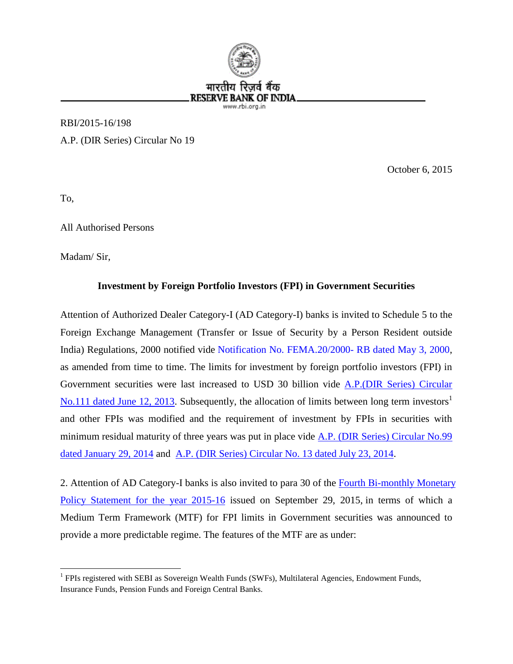

RBI/2015-16/198 A.P. (DIR Series) Circular No 19

October 6, 2015

To,

All Authorised Persons

Madam/ Sir,

## **Investment by Foreign Portfolio Investors (FPI) in Government Securities**

Attention of Authorized Dealer Category-I (AD Category-I) banks is invited to Schedule 5 to the Foreign Exchange Management (Transfer or Issue of Security by a Person Resident outside India) Regulations, 2000 notified vide [Notification No. FEMA.20/2000- RB dated May 3, 2000,](https://www.rbi.org.in/Scripts/BS_FemaNotifications.aspx?Id=174) as amended from time to time. The limits for investment by foreign portfolio investors (FPI) in Government securities were last increased to USD 30 billion vide [A.P.\(DIR Series\) Circular](https://www.rbi.org.in/Scripts/NotificationUser.aspx?Id=8033&Mode=0)  [No.111 dated June 12, 2013.](https://www.rbi.org.in/Scripts/NotificationUser.aspx?Id=8033&Mode=0) Subsequently, the allocation of limits between long term investors<sup>1</sup> and other FPIs was modified and the requirement of investment by FPIs in securities with minimum residual maturity of three years was put in place vide [A.P. \(DIR Series\) Circular No.99](https://www.rbi.org.in/Scripts/NotificationUser.aspx?Id=8721&Mode=0)  [dated January 29, 2014](https://www.rbi.org.in/Scripts/NotificationUser.aspx?Id=8721&Mode=0) and [A.P. \(DIR Series\) Circular No. 13 dated July 23, 2014.](https://www.rbi.org.in/Scripts/NotificationUser.aspx?Id=9128&Mode=0)

2. Attention of AD Category-I banks is also invited to para 30 of the Fourth B[i-monthly Monetary](https://www.rbi.org.in/Scripts/BS_PressReleaseDisplay.aspx?prid=35087#p30) [Policy Statement for the year 2015-16](https://www.rbi.org.in/Scripts/BS_PressReleaseDisplay.aspx?prid=35087#p30) issued on September 29, 2015, in terms of which a Medium Term Framework (MTF) for FPI limits in Government securities was announced to provide a more predictable regime. The features of the MTF are as under:

<sup>&</sup>lt;sup>1</sup> FPIs registered with SEBI as Sovereign Wealth Funds (SWFs), Multilateral Agencies, Endowment Funds, Insurance Funds, Pension Funds and Foreign Central Banks.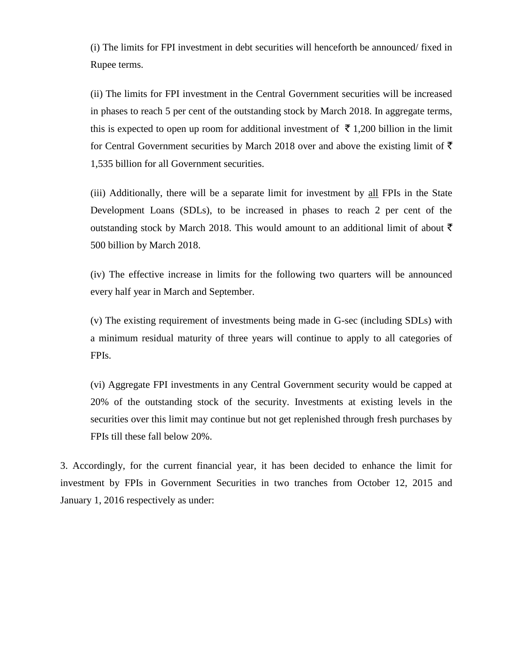(i) The limits for FPI investment in debt securities will henceforth be announced/ fixed in Rupee terms.

(ii) The limits for FPI investment in the Central Government securities will be increased in phases to reach 5 per cent of the outstanding stock by March 2018. In aggregate terms, this is expected to open up room for additional investment of  $\bar{\tau}$  1,200 billion in the limit for Central Government securities by March 2018 over and above the existing limit of  $\bar{\tau}$ 1,535 billion for all Government securities.

(iii) Additionally, there will be a separate limit for investment by all FPIs in the State Development Loans (SDLs), to be increased in phases to reach 2 per cent of the outstanding stock by March 2018. This would amount to an additional limit of about  $\bar{\tau}$ 500 billion by March 2018.

(iv) The effective increase in limits for the following two quarters will be announced every half year in March and September.

(v) The existing requirement of investments being made in G-sec (including SDLs) with a minimum residual maturity of three years will continue to apply to all categories of FPIs.

(vi) Aggregate FPI investments in any Central Government security would be capped at 20% of the outstanding stock of the security. Investments at existing levels in the securities over this limit may continue but not get replenished through fresh purchases by FPIs till these fall below 20%.

3. Accordingly, for the current financial year, it has been decided to enhance the limit for investment by FPIs in Government Securities in two tranches from October 12, 2015 and January 1, 2016 respectively as under: